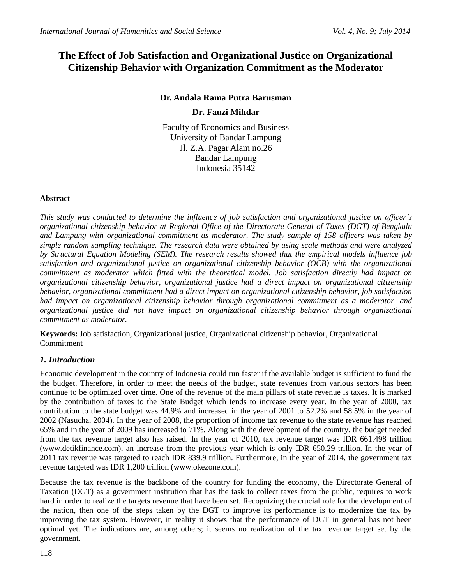# **The Effect of Job Satisfaction and Organizational Justice on Organizational Citizenship Behavior with Organization Commitment as the Moderator**

**Dr. Andala Rama Putra Barusman**

**Dr. Fauzi Mihdar**

Faculty of Economics and Business University of Bandar Lampung Jl. Z.A. Pagar Alam no.26 Bandar Lampung Indonesia 35142

# **Abstract**

*This study was conducted to determine the influence of job satisfaction and organizational justice on officer's organizational citizenship behavior at Regional Office of the Directorate General of Taxes (DGT) of Bengkulu and Lampung with organizational commitment as moderator. The study sample of 158 officers was taken by simple random sampling technique. The research data were obtained by using scale methods and were analyzed by Structural Equation Modeling (SEM). The research results showed that the empirical models influence job satisfaction and organizational justice on organizational citizenship behavior (OCB) with the organizational commitment as moderator which fitted with the theoretical model. Job satisfaction directly had impact on organizational citizenship behavior, organizational justice had a direct impact on organizational citizenship behavior, organizational commitment had a direct impact on organizational citizenship behavior, job satisfaction had impact on organizational citizenship behavior through organizational commitment as a moderator, and organizational justice did not have impact on organizational citizenship behavior through organizational commitment as moderator.*

**Keywords:** Job satisfaction, Organizational justice, Organizational citizenship behavior, Organizational Commitment

# *1. Introduction*

Economic development in the country of Indonesia could run faster if the available budget is sufficient to fund the the budget. Therefore, in order to meet the needs of the budget, state revenues from various sectors has been continue to be optimized over time. One of the revenue of the main pillars of state revenue is taxes. It is marked by the contribution of taxes to the State Budget which tends to increase every year. In the year of 2000, tax contribution to the state budget was 44.9% and increased in the year of 2001 to 52.2% and 58.5% in the year of 2002 (Nasucha, 2004). In the year of 2008, the proportion of income tax revenue to the state revenue has reached 65% and in the year of 2009 has increased to 71%. Along with the development of the country, the budget needed from the tax revenue target also has raised. In the year of 2010, tax revenue target was IDR 661.498 trillion (www.detikfinance.com), an increase from the previous year which is only IDR 650.29 trillion. In the year of 2011 tax revenue was targeted to reach IDR 839.9 trillion. Furthermore, in the year of 2014, the government tax revenue targeted was IDR 1,200 trillion [\(www.okezone.com\)](http://www.okezone.com/).

Because the tax revenue is the backbone of the country for funding the economy, the Directorate General of Taxation (DGT) as a government institution that has the task to collect taxes from the public, requires to work hard in order to realize the targets revenue that have been set. Recognizing the crucial role for the development of the nation, then one of the steps taken by the DGT to improve its performance is to modernize the tax by improving the tax system. However, in reality it shows that the performance of DGT in general has not been optimal yet. The indications are, among others; it seems no realization of the tax revenue target set by the government.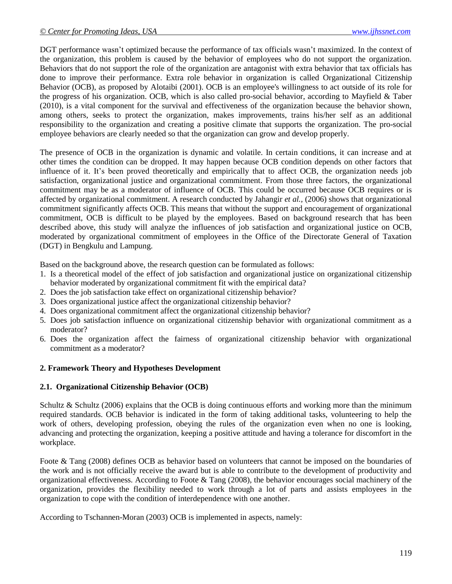DGT performance wasn't optimized because the performance of tax officials wasn't maximized. In the context of the organization, this problem is caused by the behavior of employees who do not support the organization. Behaviors that do not support the role of the organization are antagonist with extra behavior that tax officials has done to improve their performance. Extra role behavior in organization is called Organizational Citizenship Behavior (OCB), as proposed by Alotaibi (2001). OCB is an employee's willingness to act outside of its role for the progress of his organization. OCB, which is also called pro-social behavior, according to Mayfield & Taber (2010), is a vital component for the survival and effectiveness of the organization because the behavior shown, among others, seeks to protect the organization, makes improvements, trains his/her self as an additional responsibility to the organization and creating a positive climate that supports the organization. The pro-social employee behaviors are clearly needed so that the organization can grow and develop properly.

The presence of OCB in the organization is dynamic and volatile. In certain conditions, it can increase and at other times the condition can be dropped. It may happen because OCB condition depends on other factors that influence of it. It's been proved theoretically and empirically that to affect OCB, the organization needs job satisfaction, organizational justice and organizational commitment. From those three factors, the organizational commitment may be as a moderator of influence of OCB. This could be occurred because OCB requires or is affected by organizational commitment. A research conducted by Jahangir *et al.,* (2006) shows that organizational commitment significantly affects OCB. This means that without the support and encouragement of organizational commitment, OCB is difficult to be played by the employees. Based on background research that has been described above, this study will analyze the influences of job satisfaction and organizational justice on OCB, moderated by organizational commitment of employees in the Office of the Directorate General of Taxation (DGT) in Bengkulu and Lampung.

Based on the background above, the research question can be formulated as follows:

- 1. Is a theoretical model of the effect of job satisfaction and organizational justice on organizational citizenship behavior moderated by organizational commitment fit with the empirical data?
- 2. Does the job satisfaction take effect on organizational citizenship behavior?
- 3. Does organizational justice affect the organizational citizenship behavior?
- 4. Does organizational commitment affect the organizational citizenship behavior?
- 5. Does job satisfaction influence on organizational citizenship behavior with organizational commitment as a moderator?
- 6. Does the organization affect the fairness of organizational citizenship behavior with organizational commitment as a moderator?

#### **2. Framework Theory and Hypotheses Development**

#### **2.1. Organizational Citizenship Behavior (OCB)**

Schultz & Schultz (2006) explains that the OCB is doing continuous efforts and working more than the minimum required standards. OCB behavior is indicated in the form of taking additional tasks, volunteering to help the work of others, developing profession, obeying the rules of the organization even when no one is looking, advancing and protecting the organization, keeping a positive attitude and having a tolerance for discomfort in the workplace.

Foote & Tang (2008) defines OCB as behavior based on volunteers that cannot be imposed on the boundaries of the work and is not officially receive the award but is able to contribute to the development of productivity and organizational effectiveness. According to Foote  $\&$  Tang (2008), the behavior encourages social machinery of the organization, provides the flexibility needed to work through a lot of parts and assists employees in the organization to cope with the condition of interdependence with one another.

According to Tschannen-Moran (2003) OCB is implemented in aspects, namely: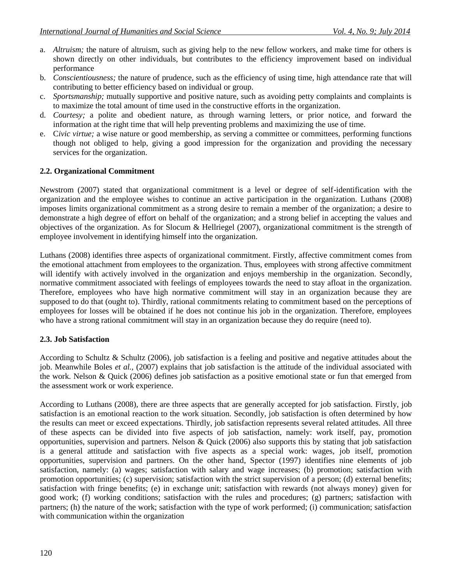- a. *Altruism;* the nature of altruism, such as giving help to the new fellow workers, and make time for others is shown directly on other individuals, but contributes to the efficiency improvement based on individual performance
- b. *Conscientiousness;* the nature of prudence, such as the efficiency of using time, high attendance rate that will contributing to better efficiency based on individual or group.
- c. *Sportsmanship;* mutually supportive and positive nature, such as avoiding petty complaints and complaints is to maximize the total amount of time used in the constructive efforts in the organization.
- d. *Courtesy;* a polite and obedient nature, as through warning letters, or prior notice, and forward the information at the right time that will help preventing problems and maximizing the use of time.
- e. C*ivic virtue;* a wise nature or good membership, as serving a committee or committees, performing functions though not obliged to help, giving a good impression for the organization and providing the necessary services for the organization.

### **2.2. Organizational Commitment**

Newstrom (2007) stated that organizational commitment is a level or degree of self-identification with the organization and the employee wishes to continue an active participation in the organization. Luthans (2008) imposes limits organizational commitment as a strong desire to remain a member of the organization; a desire to demonstrate a high degree of effort on behalf of the organization; and a strong belief in accepting the values and objectives of the organization. As for Slocum & Hellriegel (2007), organizational commitment is the strength of employee involvement in identifying himself into the organization.

Luthans (2008) identifies three aspects of organizational commitment. Firstly, affective commitment comes from the emotional attachment from employees to the organization. Thus, employees with strong affective commitment will identify with actively involved in the organization and enjoys membership in the organization. Secondly, normative commitment associated with feelings of employees towards the need to stay afloat in the organization. Therefore, employees who have high normative commitment will stay in an organization because they are supposed to do that (ought to). Thirdly, rational commitments relating to commitment based on the perceptions of employees for losses will be obtained if he does not continue his job in the organization. Therefore, employees who have a strong rational commitment will stay in an organization because they do require (need to).

### **2.3. Job Satisfaction**

According to Schultz & Schultz (2006), job satisfaction is a feeling and positive and negative attitudes about the job. Meanwhile Boles *et al.,* (2007) explains that job satisfaction is the attitude of the individual associated with the work. Nelson & Quick (2006) defines job satisfaction as a positive emotional state or fun that emerged from the assessment work or work experience.

According to Luthans (2008), there are three aspects that are generally accepted for job satisfaction. Firstly, job satisfaction is an emotional reaction to the work situation. Secondly, job satisfaction is often determined by how the results can meet or exceed expectations. Thirdly, job satisfaction represents several related attitudes. All three of these aspects can be divided into five aspects of job satisfaction, namely: work itself, pay, promotion opportunities, supervision and partners. Nelson & Quick (2006) also supports this by stating that job satisfaction is a general attitude and satisfaction with five aspects as a special work: wages, job itself, promotion opportunities, supervision and partners. On the other hand, Spector (1997) identifies nine elements of job satisfaction, namely: (a) wages; satisfaction with salary and wage increases; (b) promotion; satisfaction with promotion opportunities; (c) supervision; satisfaction with the strict supervision of a person; (d) external benefits; satisfaction with fringe benefits; (e) in exchange unit; satisfaction with rewards (not always money) given for good work; (f) working conditions; satisfaction with the rules and procedures; (g) partners; satisfaction with partners; (h) the nature of the work; satisfaction with the type of work performed; (i) communication; satisfaction with communication within the organization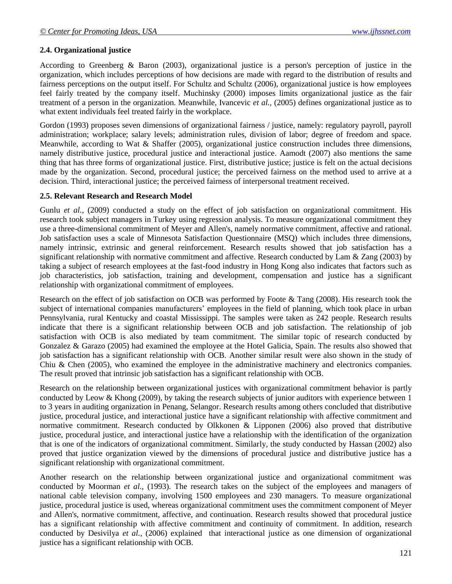### **2.4. Organizational justice**

According to Greenberg & Baron (2003), organizational justice is a person's perception of justice in the organization, which includes perceptions of how decisions are made with regard to the distribution of results and fairness perceptions on the output itself. For Schultz and Schultz (2006), organizational justice is how employees feel fairly treated by the company itself. Muchinsky (2000) imposes limits organizational justice as the fair treatment of a person in the organization. Meanwhile, Ivancevic *et al.,* (2005) defines organizational justice as to what extent individuals feel treated fairly in the workplace.

Gordon (1993) proposes seven dimensions of organizational fairness / justice, namely: regulatory payroll, payroll administration; workplace; salary levels; administration rules, division of labor; degree of freedom and space. Meanwhile, according to Wat & Shaffer (2005), organizational justice construction includes three dimensions, namely distributive justice, procedural justice and interactional justice. Aamodt (2007) also mentions the same thing that has three forms of organizational justice. First, distributive justice; justice is felt on the actual decisions made by the organization. Second, procedural justice; the perceived fairness on the method used to arrive at a decision. Third, interactional justice; the perceived fairness of interpersonal treatment received.

#### **2.5. Relevant Research and Research Model**

Gunlu *et al.,* (2009) conducted a study on the effect of job satisfaction on organizational commitment. His research took subject managers in Turkey using regression analysis. To measure organizational commitment they use a three-dimensional commitment of Meyer and Allen's, namely normative commitment, affective and rational. Job satisfaction uses a scale of Minnesota Satisfaction Questionnaire (MSQ) which includes three dimensions, namely intrinsic, extrinsic and general reinforcement. Research results showed that job satisfaction has a significant relationship with normative commitment and affective. Research conducted by Lam & Zang (2003) by taking a subject of research employees at the fast-food industry in Hong Kong also indicates that factors such as job characteristics, job satisfaction, training and development, compensation and justice has a significant relationship with organizational commitment of employees.

Research on the effect of job satisfaction on OCB was performed by Foote & Tang (2008). His research took the subject of international companies manufacturers' employees in the field of planning, which took place in urban Pennsylvania, rural Kentucky and coastal Mississippi. The samples were taken as 242 people. Research results indicate that there is a significant relationship between OCB and job satisfaction. The relationship of job satisfaction with OCB is also mediated by team commitment. The similar topic of research conducted by Gonzalez & Garazo (2005) had examined the employee at the Hotel Galicia, Spain. The results also showed that job satisfaction has a significant relationship with OCB. Another similar result were also shown in the study of Chiu & Chen (2005), who examined the employee in the administrative machinery and electronics companies. The result proved that intrinsic job satisfaction has a significant relationship with OCB.

Research on the relationship between organizational justices with organizational commitment behavior is partly conducted by Leow & Khong (2009), by taking the research subjects of junior auditors with experience between 1 to 3 years in auditing organization in Penang, Selangor. Research results among others concluded that distributive justice, procedural justice, and interactional justice have a significant relationship with affective commitment and normative commitment. Research conducted by Olkkonen & Lipponen (2006) also proved that distributive justice, procedural justice, and interactional justice have a relationship with the identification of the organization that is one of the indicators of organizational commitment. Similarly, the study conducted by Hassan (2002) also proved that justice organization viewed by the dimensions of procedural justice and distributive justice has a significant relationship with organizational commitment.

Another research on the relationship between organizational justice and organizational commitment was conducted by Moorman *et al.,* (1993). The research takes on the subject of the employees and managers of national cable television company, involving 1500 employees and 230 managers. To measure organizational justice, procedural justice is used, whereas organizational commitment uses the commitment component of Meyer and Allen's, normative commitment, affective, and continuation. Research results showed that procedural justice has a significant relationship with affective commitment and continuity of commitment. In addition, research conducted by Desivilya *et al.,* (2006) explained that interactional justice as one dimension of organizational justice has a significant relationship with OCB.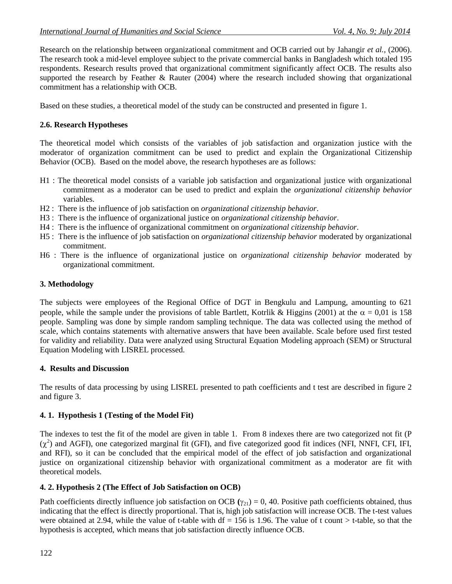Research on the relationship between organizational commitment and OCB carried out by Jahangir *et al.,* (2006). The research took a mid-level employee subject to the private commercial banks in Bangladesh which totaled 195 respondents. Research results proved that organizational commitment significantly affect OCB. The results also supported the research by Feather & Rauter (2004) where the research included showing that organizational commitment has a relationship with OCB.

Based on these studies, a theoretical model of the study can be constructed and presented in figure 1.

### **2.6. Research Hypotheses**

The theoretical model which consists of the variables of job satisfaction and organization justice with the moderator of organization commitment can be used to predict and explain the Organizational Citizenship Behavior (OCB). Based on the model above, the research hypotheses are as follows:

- H1 : The theoretical model consists of a variable job satisfaction and organizational justice with organizational commitment as a moderator can be used to predict and explain the *organizational citizenship behavior* variables.
- H2 : There is the influence of job satisfaction on *organizational citizenship behavior*.
- H3 : There is the influence of organizational justice on *organizational citizenship behavior*.
- H4 : There is the influence of organizational commitment on *organizational citizenship behavior*.
- H5 : There is the influence of job satisfaction on *organizational citizenship behavior* moderated by organizational commitment.
- H6 : There is the influence of organizational justice on *organizational citizenship behavior* moderated by organizational commitment.

### **3. Methodology**

The subjects were employees of the Regional Office of DGT in Bengkulu and Lampung, amounting to 621 people, while the sample under the provisions of table Bartlett, Kotrlik & Higgins (2001) at the  $\alpha = 0.01$  is 158 people. Sampling was done by simple random sampling technique. The data was collected using the method of scale, which contains statements with alternative answers that have been available. Scale before used first tested for validity and reliability. Data were analyzed using Structural Equation Modeling approach (SEM) or Structural Equation Modeling with LISREL processed.

#### **4. Results and Discussion**

The results of data processing by using LISREL presented to path coefficients and t test are described in figure 2 and figure 3.

### **4. 1. Hypothesis 1 (Testing of the Model Fit)**

The indexes to test the fit of the model are given in table 1. From 8 indexes there are two categorized not fit (P  $(\chi^2)$  and AGFI), one categorized marginal fit (GFI), and five categorized good fit indices (NFI, NNFI, CFI, IFI, and RFI), so it can be concluded that the empirical model of the effect of job satisfaction and organizational justice on organizational citizenship behavior with organizational commitment as a moderator are fit with theoretical models.

### **4. 2. Hypothesis 2 (The Effect of Job Satisfaction on OCB)**

Path coefficients directly influence job satisfaction on OCB  $(\gamma_{21}) = 0$ , 40. Positive path coefficients obtained, thus indicating that the effect is directly proportional. That is, high job satisfaction will increase OCB. The t-test values were obtained at 2.94, while the value of t-table with  $df = 156$  is 1.96. The value of t count > t-table, so that the hypothesis is accepted, which means that job satisfaction directly influence OCB.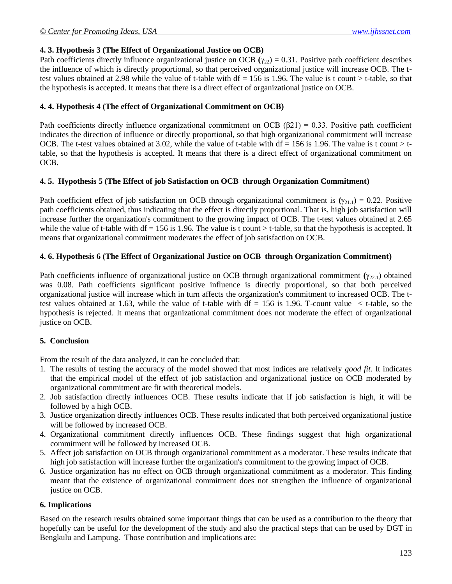### **4. 3. Hypothesis 3 (The Effect of Organizational Justice on OCB)**

Path coefficients directly influence organizational justice on OCB  $(\gamma_{22}) = 0.31$ . Positive path coefficient describes the influence of which is directly proportional, so that perceived organizational justice will increase OCB. The ttest values obtained at 2.98 while the value of t-table with  $df = 156$  is 1.96. The value is t count  $>$  t-table, so that the hypothesis is accepted. It means that there is a direct effect of organizational justice on OCB.

### **4. 4. Hypothesis 4 (The effect of Organizational Commitment on OCB)**

Path coefficients directly influence organizational commitment on OCB  $(\beta 21) = 0.33$ . Positive path coefficient indicates the direction of influence or directly proportional, so that high organizational commitment will increase OCB. The t-test values obtained at 3.02, while the value of t-table with  $df = 156$  is 1.96. The value is t count > ttable, so that the hypothesis is accepted. It means that there is a direct effect of organizational commitment on OCB.

#### **4. 5. Hypothesis 5 (The Effect of job Satisfaction on OCB through Organization Commitment)**

Path coefficient effect of job satisfaction on OCB through organizational commitment is  $(\gamma_{21.1}) = 0.22$ . Positive path coefficients obtained, thus indicating that the effect is directly proportional. That is, high job satisfaction will increase further the organization's commitment to the growing impact of OCB. The t-test values obtained at 2.65 while the value of t-table with df = 156 is 1.96. The value is t count > t-table, so that the hypothesis is accepted. It means that organizational commitment moderates the effect of job satisfaction on OCB.

#### **4. 6. Hypothesis 6 (The Effect of Organizational Justice on OCB through Organization Commitment)**

Path coefficients influence of organizational justice on OCB through organizational commitment  $(\gamma_{22.1})$  obtained was 0.08. Path coefficients significant positive influence is directly proportional, so that both perceived organizational justice will increase which in turn affects the organization's commitment to increased OCB. The ttest values obtained at 1.63, while the value of t-table with  $df = 156$  is 1.96. T-count value  $\lt$  t-table, so the hypothesis is rejected. It means that organizational commitment does not moderate the effect of organizational justice on OCB.

### **5. Conclusion**

From the result of the data analyzed, it can be concluded that:

- 1. The results of testing the accuracy of the model showed that most indices are relatively *good fit*. It indicates that the empirical model of the effect of job satisfaction and organizational justice on OCB moderated by organizational commitment are fit with theoretical models.
- 2. Job satisfaction directly influences OCB. These results indicate that if job satisfaction is high, it will be followed by a high OCB.
- 3. Justice organization directly influences OCB. These results indicated that both perceived organizational justice will be followed by increased OCB.
- 4. Organizational commitment directly influences OCB. These findings suggest that high organizational commitment will be followed by increased OCB.
- 5. Affect job satisfaction on OCB through organizational commitment as a moderator. These results indicate that high job satisfaction will increase further the organization's commitment to the growing impact of OCB.
- 6. Justice organization has no effect on OCB through organizational commitment as a moderator. This finding meant that the existence of organizational commitment does not strengthen the influence of organizational justice on OCB.

### **6. Implications**

Based on the research results obtained some important things that can be used as a contribution to the theory that hopefully can be useful for the development of the study and also the practical steps that can be used by DGT in Bengkulu and Lampung. Those contribution and implications are: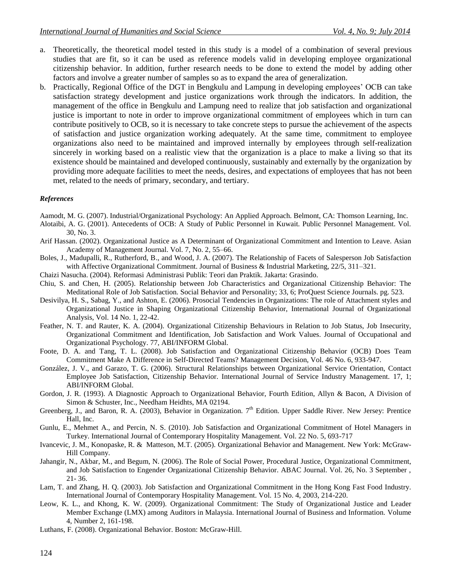- a. Theoretically, the theoretical model tested in this study is a model of a combination of several previous studies that are fit, so it can be used as reference models valid in developing employee organizational citizenship behavior. In addition, further research needs to be done to extend the model by adding other factors and involve a greater number of samples so as to expand the area of generalization.
- b. Practically, Regional Office of the DGT in Bengkulu and Lampung in developing employees' OCB can take satisfaction strategy development and justice organizations work through the indicators. In addition, the management of the office in Bengkulu and Lampung need to realize that job satisfaction and organizational justice is important to note in order to improve organizational commitment of employees which in turn can contribute positively to OCB, so it is necessary to take concrete steps to pursue the achievement of the aspects of satisfaction and justice organization working adequately. At the same time, commitment to employee organizations also need to be maintained and improved internally by employees through self-realization sincerely in working based on a realistic view that the organization is a place to make a living so that its existence should be maintained and developed continuously, sustainably and externally by the organization by providing more adequate facilities to meet the needs, desires, and expectations of employees that has not been met, related to the needs of primary, secondary, and tertiary.

#### *References*

Aamodt, M. G. (2007). Industrial/Organizational Psychology: An Applied Approach. Belmont, CA: Thomson Learning, Inc.

- Alotaibi, A. G. (2001). Antecedents of OCB: A Study of Public Personnel in Kuwait. Public Personnel Management. Vol. 30, No. 3.
- Arif Hassan. (2002). Organizational Justice as A Determinant of Organizational Commitment and Intention to Leave. Asian Academy of Management Journal. Vol. 7, No. 2, 55–66.
- Boles, J., Madupalli, R., Rutherford, B., and Wood, J. A. (2007). The Relationship of Facets of Salesperson Job Satisfaction with Affective Organizational Commitment. Journal of Business & Industrial Marketing, 22/5, 311–321.
- Chaizi Nasucha. (2004). Reformasi Administrasi Publik: Teori dan Praktik. Jakarta: Grasindo.
- Chiu, S. and Chen, H. (2005). Relationship between Job Characteristics and Organizational Citizenship Behavior: The Meditational Role of Job Satisfaction. Social Behavior and Personality; 33, 6; ProQuest Science Journals. pg. 523.
- Desivilya, H. S., Sabag, Y., and Ashton, E. (2006). Prosocial Tendencies in Organizations: The role of Attachment styles and Organizational Justice in Shaping Organizational Citizenship Behavior, International Journal of Organizational Analysis, Vol. 14 No. 1, 22-42.
- Feather, N. T. and Rauter, K. A. (2004). Organizational Citizenship Behaviours in Relation to Job Status, Job Insecurity, Organizational Commitment and Identification, Job Satisfaction and Work Values. Journal of Occupational and Organizational Psychology. 77, ABI/INFORM Global.
- Foote, D. A. and Tang, T. L. (2008). Job Satisfaction and Organizational Citizenship Behavior (OCB) Does Team Commitment Make A Difference in Self-Directed Teams? Management Decision, Vol. 46 No. 6, 933-947.
- González, J. V., and Garazo, T. G. (2006). Structural Relationships between Organizational Service Orientation, Contact Employee Job Satisfaction, Citizenship Behavior. International Journal of Service Industry Management. 17, 1; ABI/INFORM Global.
- Gordon, J. R. (1993). A Diagnostic Approach to Organizational Behavior, Fourth Edition, Allyn & Bacon, A Division of Simon & Schuster, Inc., Needham Heidhts, MA 02194.
- Greenberg, J., and Baron, R. A. (2003), Behavior in Organization. 7<sup>th</sup> Edition. Upper Saddle River. New Jersey: Prentice Hall, Inc.
- Gunlu, E., Mehmet A., and Percin, N. S. (2010). Job Satisfaction and Organizational Commitment of Hotel Managers in Turkey. International Journal of Contemporary Hospitality Management. Vol. 22 No. 5, 693-717
- Ivancevic, J. M., Konopaske, R. & Matteson, M.T. (2005). Organizational Behavior and Management. New York: McGraw-Hill Company.
- Jahangir, N., Akbar, M., and Begum, N. (2006). The Role of Social Power, Procedural Justice, Organizational Commitment, and Job Satisfaction to Engender Organizational Citizenship Behavior. ABAC Journal. Vol. 26, No. 3 September , 21- 36.
- Lam, T. and Zhang, H. Q. (2003). Job Satisfaction and Organizational Commitment in the Hong Kong Fast Food Industry. International Journal of Contemporary Hospitality Management. Vol. 15 No. 4, 2003, 214-220.
- Leow, K. L., and Khong, K. W. (2009). Organizational Commitment: The Study of Organizational Justice and Leader Member Exchange (LMX) among Auditors in Malaysia. International Journal of Business and Information. Volume 4, Number 2, 161-198.
- Luthans, F. (2008). Organizational Behavior. Boston: McGraw-Hill.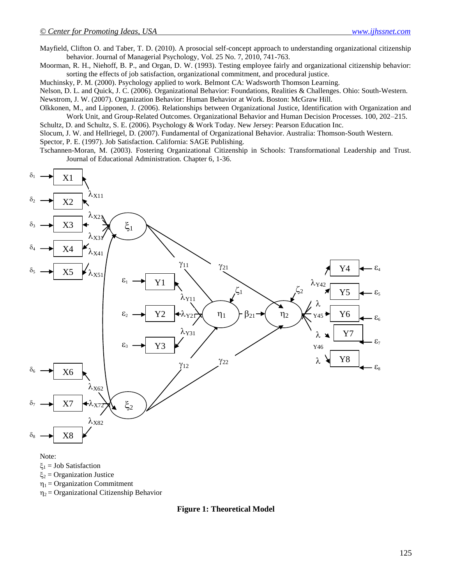Mayfield, Clifton O. and Taber, T. D. (2010). A prosocial self-concept approach to understanding organizational citizenship behavior. Journal of Managerial Psychology, Vol. 25 No. 7, 2010, 741-763.

Moorman, R. H., Niehoff, B. P., and Organ, D. W. (1993). Testing employee fairly and organizational citizenship behavior: sorting the effects of job satisfaction, organizational commitment, and procedural justice.

Muchinsky, P. M. (2000). Psychology applied to work. Belmont CA: Wadsworth Thomson Learning.

Nelson, D. L. and Quick, J. C. (2006). Organizational Behavior: Foundations, Realities & Challenges. Ohio: South-Western. Newstrom, J. W. (2007). Organization Behavior: Human Behavior at Work. Boston: McGraw Hill.

Olkkonen, M., and Lipponen, J. (2006). Relationships between Organizational Justice, Identification with Organization and Work Unit, and Group-Related Outcomes. Organizational Behavior and Human Decision Processes. 100, 202–215.

Schultz, D. and Schultz, S. E. (2006). Psychology & Work Today. New Jersey: Pearson Education Inc.

Slocum, J. W. and Hellriegel, D. (2007). Fundamental of Organizational Behavior. Australia: Thomson-South Western. Spector, P. E. (1997). Job Satisfaction. California: SAGE Publishing.

Tschannen-Moran, M. (2003). Fostering Organizational Citizenship in Schools: Transformational Leadership and Trust. Journal of Educational Administration. Chapter 6, 1-36.



 $\xi_1$  = Job Satisfaction

 $\xi_2$  = Organization Justice

 $\eta_1$  = Organization Commitment

 $\eta_2$  = Organizational Citizenship Behavior